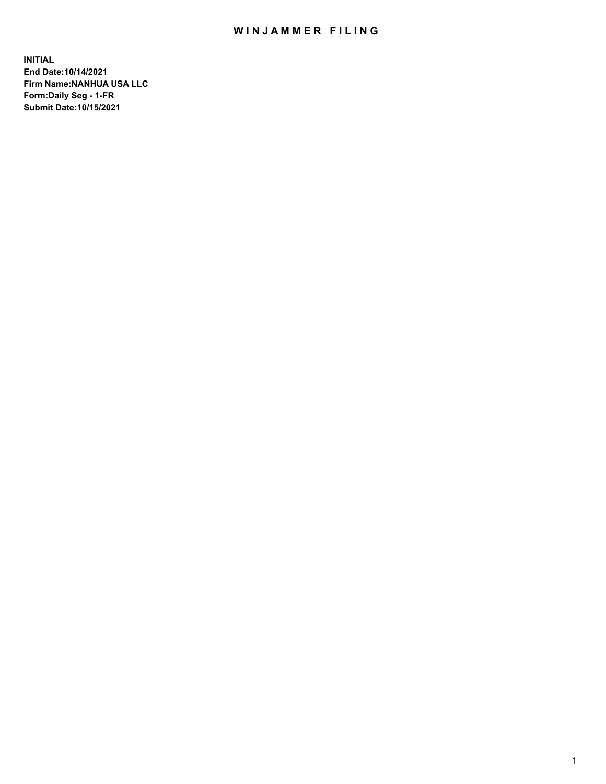## WIN JAMMER FILING

**INITIAL End Date:10/14/2021 Firm Name:NANHUA USA LLC Form:Daily Seg - 1-FR Submit Date:10/15/2021**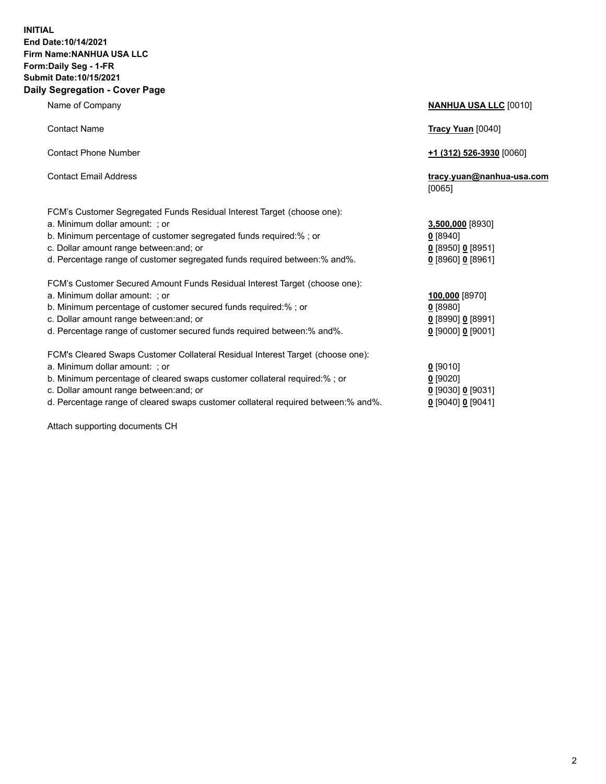### **INITIAL End Date:10/14/2021 Firm Name:NANHUA USA LLC Form:Daily Seg - 1-FR Submit Date:10/15/2021 Daily Segregation - Cover Page**

Name of Company **NANHUA USA LLC** [0010] Contact Name **Tracy Yuan** [0040] Contact Phone Number **+1 (312) 526-3930** [0060] Contact Email Address **tracy.yuan@nanhua-usa.com** [0065] FCM's Customer Segregated Funds Residual Interest Target (choose one): a. Minimum dollar amount: ; or **3,500,000** [8930] b. Minimum percentage of customer segregated funds required:% ; or **0** [8940] c. Dollar amount range between:and; or **0** [8950] **0** [8951] d. Percentage range of customer segregated funds required between:% and%. **0** [8960] **0** [8961] FCM's Customer Secured Amount Funds Residual Interest Target (choose one): a. Minimum dollar amount: ; or **100,000** [8970] b. Minimum percentage of customer secured funds required:% ; or **0** [8980] c. Dollar amount range between:and; or **0** [8990] **0** [8991] d. Percentage range of customer secured funds required between:% and%. **0** [9000] **0** [9001] FCM's Cleared Swaps Customer Collateral Residual Interest Target (choose one): a. Minimum dollar amount: ; or **0** [9010] b. Minimum percentage of cleared swaps customer collateral required:% ; or **0** [9020] c. Dollar amount range between:and; or **0** [9030] **0** [9031]

d. Percentage range of cleared swaps customer collateral required between:% and%. **0** [9040] **0** [9041]

Attach supporting documents CH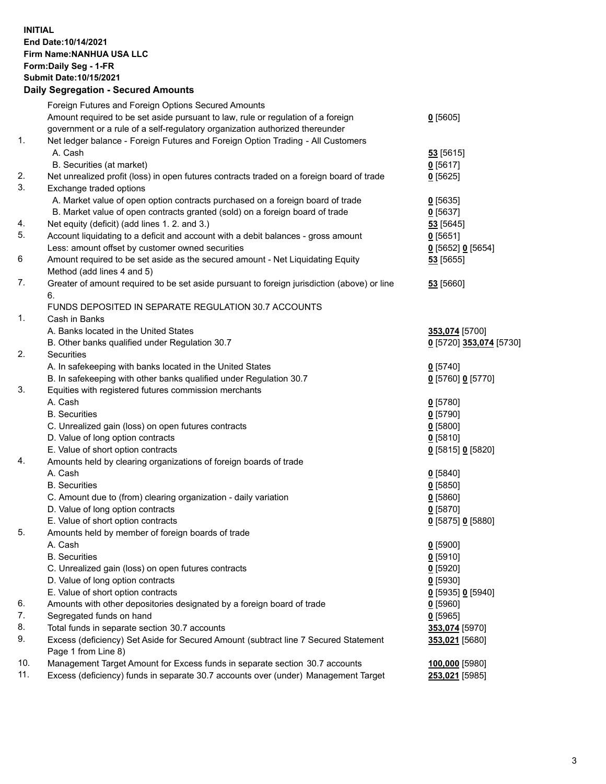## **INITIAL End Date:10/14/2021 Firm Name:NANHUA USA LLC Form:Daily Seg - 1-FR Submit Date:10/15/2021**

# **Daily Segregation - Secured Amounts**

|     | Foreign Futures and Foreign Options Secured Amounts                                                        |                         |
|-----|------------------------------------------------------------------------------------------------------------|-------------------------|
|     | Amount required to be set aside pursuant to law, rule or regulation of a foreign                           | $0$ [5605]              |
|     | government or a rule of a self-regulatory organization authorized thereunder                               |                         |
| 1.  | Net ledger balance - Foreign Futures and Foreign Option Trading - All Customers                            |                         |
|     | A. Cash                                                                                                    | 53 [5615]               |
|     | B. Securities (at market)                                                                                  | $0$ [5617]              |
| 2.  | Net unrealized profit (loss) in open futures contracts traded on a foreign board of trade                  | $0$ [5625]              |
| 3.  | Exchange traded options                                                                                    |                         |
|     | A. Market value of open option contracts purchased on a foreign board of trade                             | $0$ [5635]              |
|     | B. Market value of open contracts granted (sold) on a foreign board of trade                               | $0$ [5637]              |
| 4.  | Net equity (deficit) (add lines 1. 2. and 3.)                                                              | 53 [5645]               |
| 5.  | Account liquidating to a deficit and account with a debit balances - gross amount                          | $0$ [5651]              |
|     | Less: amount offset by customer owned securities                                                           | 0 [5652] 0 [5654]       |
| 6   | Amount required to be set aside as the secured amount - Net Liquidating Equity                             | 53 [5655]               |
|     | Method (add lines 4 and 5)                                                                                 |                         |
| 7.  | Greater of amount required to be set aside pursuant to foreign jurisdiction (above) or line                | 53 [5660]               |
|     | 6.                                                                                                         |                         |
|     | FUNDS DEPOSITED IN SEPARATE REGULATION 30.7 ACCOUNTS                                                       |                         |
| 1.  | Cash in Banks                                                                                              |                         |
|     | A. Banks located in the United States                                                                      | 353,074 [5700]          |
|     | B. Other banks qualified under Regulation 30.7                                                             | 0 [5720] 353,074 [5730] |
| 2.  | Securities                                                                                                 |                         |
|     | A. In safekeeping with banks located in the United States                                                  | $0$ [5740]              |
|     | B. In safekeeping with other banks qualified under Regulation 30.7                                         | 0 [5760] 0 [5770]       |
| 3.  | Equities with registered futures commission merchants                                                      |                         |
|     | A. Cash                                                                                                    | $0$ [5780]              |
|     | <b>B.</b> Securities                                                                                       | $0$ [5790]              |
|     | C. Unrealized gain (loss) on open futures contracts                                                        | $0$ [5800]              |
|     | D. Value of long option contracts                                                                          | $0$ [5810]              |
|     | E. Value of short option contracts                                                                         | 0 [5815] 0 [5820]       |
| 4.  | Amounts held by clearing organizations of foreign boards of trade                                          |                         |
|     | A. Cash                                                                                                    | $0$ [5840]              |
|     | <b>B.</b> Securities                                                                                       | $0$ [5850]              |
|     | C. Amount due to (from) clearing organization - daily variation                                            | 0[5860]                 |
|     | D. Value of long option contracts                                                                          | $0$ [5870]              |
|     | E. Value of short option contracts                                                                         | 0 [5875] 0 [5880]       |
| 5.  | Amounts held by member of foreign boards of trade                                                          |                         |
|     | A. Cash                                                                                                    | $0$ [5900]              |
|     | <b>B.</b> Securities                                                                                       | $0$ [5910]              |
|     | C. Unrealized gain (loss) on open futures contracts                                                        | $0$ [5920]              |
|     | D. Value of long option contracts                                                                          | $0$ [5930]              |
|     | E. Value of short option contracts                                                                         | 0 [5935] 0 [5940]       |
| 6.  | Amounts with other depositories designated by a foreign board of trade                                     | $0$ [5960]              |
| 7.  | Segregated funds on hand                                                                                   | $0$ [5965]              |
| 8.  | Total funds in separate section 30.7 accounts                                                              | 353,074 [5970]          |
| 9.  | Excess (deficiency) Set Aside for Secured Amount (subtract line 7 Secured Statement<br>Page 1 from Line 8) | 353,021 [5680]          |
| 10. | Management Target Amount for Excess funds in separate section 30.7 accounts                                | 100,000 [5980]          |
| 11. | Excess (deficiency) funds in separate 30.7 accounts over (under) Management Target                         | 253,021 [5985]          |
|     |                                                                                                            |                         |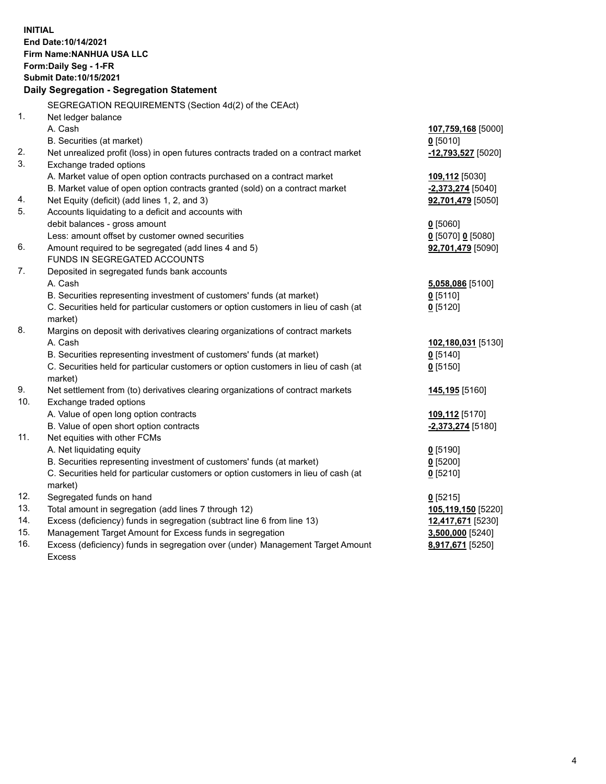**INITIAL End Date:10/14/2021 Firm Name:NANHUA USA LLC Form:Daily Seg - 1-FR Submit Date:10/15/2021 Daily Segregation - Segregation Statement** SEGREGATION REQUIREMENTS (Section 4d(2) of the CEAct) 1. Net ledger balance A. Cash **107,759,168** [5000] B. Securities (at market) **0** [5010] 2. Net unrealized profit (loss) in open futures contracts traded on a contract market **-12,793,527** [5020] 3. Exchange traded options A. Market value of open option contracts purchased on a contract market **109,112** [5030] B. Market value of open option contracts granted (sold) on a contract market **-2,373,274** [5040] 4. Net Equity (deficit) (add lines 1, 2, and 3) **92,701,479** [5050] 5. Accounts liquidating to a deficit and accounts with debit balances - gross amount **0** [5060] Less: amount offset by customer owned securities **0** [5070] **0** [5080] 6. Amount required to be segregated (add lines 4 and 5) **92,701,479** [5090] FUNDS IN SEGREGATED ACCOUNTS 7. Deposited in segregated funds bank accounts A. Cash **5,058,086** [5100] B. Securities representing investment of customers' funds (at market) **0** [5110] C. Securities held for particular customers or option customers in lieu of cash (at market) **0** [5120] 8. Margins on deposit with derivatives clearing organizations of contract markets A. Cash **102,180,031** [5130] B. Securities representing investment of customers' funds (at market) **0** [5140] C. Securities held for particular customers or option customers in lieu of cash (at market) **0** [5150] 9. Net settlement from (to) derivatives clearing organizations of contract markets **145,195** [5160] 10. Exchange traded options A. Value of open long option contracts **109,112** [5170] B. Value of open short option contracts **-2,373,274** [5180] 11. Net equities with other FCMs A. Net liquidating equity **0** [5190] B. Securities representing investment of customers' funds (at market) **0** [5200] C. Securities held for particular customers or option customers in lieu of cash (at market) **0** [5210] 12. Segregated funds on hand **0** [5215] 13. Total amount in segregation (add lines 7 through 12) **105,119,150** [5220] 14. Excess (deficiency) funds in segregation (subtract line 6 from line 13) **12,417,671** [5230] 15. Management Target Amount for Excess funds in segregation **3,500,000** [5240] 16. Excess (deficiency) funds in segregation over (under) Management Target Amount Excess **8,917,671** [5250]